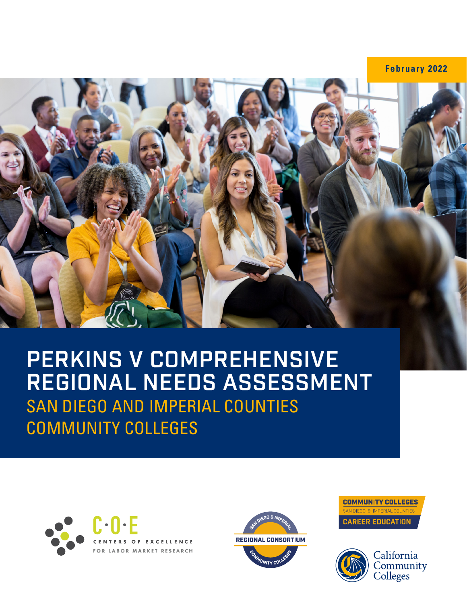**February 2022**



# **PERKINS V COMPREHENSIVE REGIONAL NEEDS ASSESSMENT** SAN DIEGO AND IMPERIAL COUNTIES COMMUNITY COLLEGES





**COMMUNITY COLLEGES** N DIEGO & IMPERIAL COUNTIE **CAREER EDUCATION** 

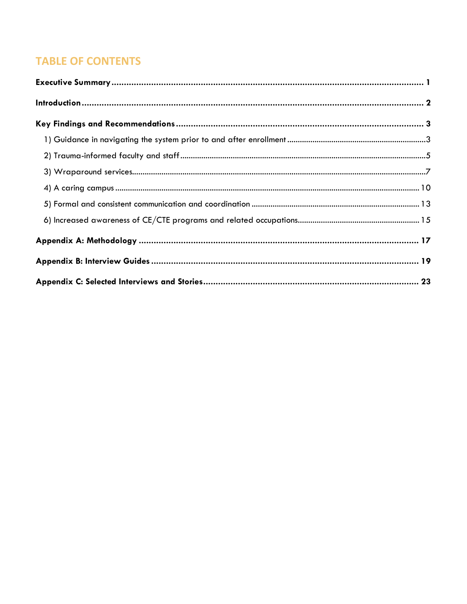# **TABLE OF CONTENTS**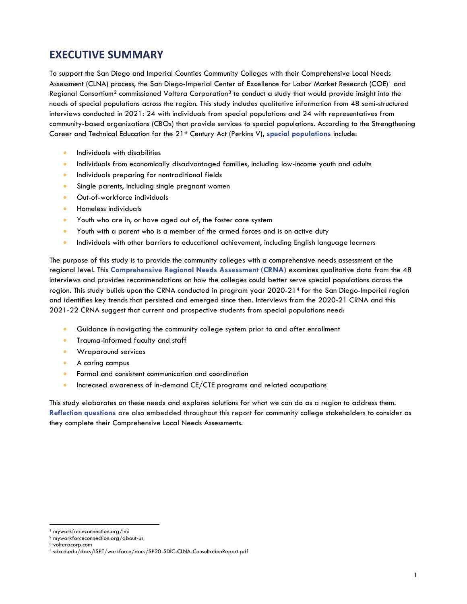# <span id="page-2-0"></span>**EXECUTIVE SUMMARY**

To support the San Diego and Imperial Counties Community Colleges with their Comprehensive Local Needs Assessment (CLNA) process, the San Diego-Imperial Center of Excellence for Labor Market Research (COE)<sup>1</sup> and Regional Consortium<sup>2</sup> commissioned Voltera Corporation<sup>3</sup> to conduct a study that would provide insight into the needs of special populations across the region. This study includes qualitative information from 48 semi-structured interviews conducted in 2021: 24 with individuals from special populations and 24 with representatives from community-based organizations (CBOs) that provide services to special populations. According to the Strengthening Career and Technical Education for the 21<sup>st</sup> Century Act (Perkins V), special populations include:

- Individuals with disabilities
- Individuals from economically disadvantaged families, including low-income youth and adults
- Individuals preparing for nontraditional fields
- Single parents, including single pregnant women
- Out-of-workforce individuals
- Homeless individuals
- Youth who are in, or have aged out of, the foster care system
- Youth with a parent who is a member of the armed forces and is on active duty
- Individuals with other barriers to educational achievement, including English language learners

The purpose of this study is to provide the community colleges with a comprehensive needs assessment at the regional level. This **Comprehensive Regional Needs Assessment (CRNA)** examines qualitative data from the 48 interviews and provides recommendations on how the colleges could better serve special populations across the region. This study builds upon the CRNA conducted in program year 2020-21<sup>4</sup> for the San Diego-Imperial region and identifies key trends that persisted and emerged since then. Interviews from the 2020-21 CRNA and this 2021-22 CRNA suggest that current and prospective students from special populations need:

- Guidance in navigating the community college system prior to and after enrollment
- Trauma-informed faculty and staff
- Wraparound services
- A caring campus
- Formal and consistent communication and coordination
- Increased awareness of in-demand CE/CTE programs and related occupations

This study elaborates on these needs and explores solutions for what we can do as a region to address them. **Reflection questions** are also embedded throughout this report for community college stakeholders to consider as they complete their Comprehensive Local Needs Assessments.

<sup>1</sup> myworkforceconnection.org/lmi

 $2$  myworkforceconnection.org/about-us

<sup>3</sup> volteracorp.com

<sup>4</sup> sdccd.edu/docs/ISPT/workforce/docs/SP20-SDIC-CLNA-ConsultationReport.pdf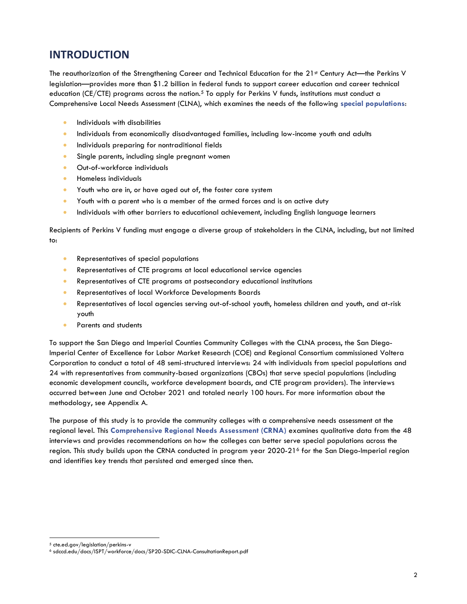# <span id="page-3-0"></span>**INTRODUCTION**

The reauthorization of the Strengthening Career and Technical Education for the 21<sup>st</sup> Century Act—the Perkins V legislation—provides more than \$1.2 billion in federal funds to support career education and career technical education (CE/CTE) programs across the nation.<sup>5</sup> To apply for Perkins V funds, institutions must conduct a Comprehensive Local Needs Assessment (CLNA), which examines the needs of the following **special populations**:

- Individuals with disabilities
- Individuals from economically disadvantaged families, including low-income youth and adults
- Individuals preparing for nontraditional fields
- Single parents, including single pregnant women
- Out-of-workforce individuals
- Homeless individuals
- Youth who are in, or have aged out of, the foster care system
- Youth with a parent who is a member of the armed forces and is on active duty
- Individuals with other barriers to educational achievement, including English language learners

Recipients of Perkins V funding must engage a diverse group of stakeholders in the CLNA, including, but not limited to:

- Representatives of special populations
- Representatives of CTE programs at local educational service agencies
- Representatives of CTE programs at postsecondary educational institutions
- Representatives of local Workforce Developments Boards
- Representatives of local agencies serving out-of-school youth, homeless children and youth, and at-risk youth
- Parents and students

To support the San Diego and Imperial Counties Community Colleges with the CLNA process, the San Diego-Imperial Center of Excellence for Labor Market Research (COE) and Regional Consortium commissioned Voltera Corporation to conduct a total of 48 semi-structured interviews: 24 with individuals from special populations and 24 with representatives from community-based organizations (CBOs) that serve special populations (including economic development councils, workforce development boards, and CTE program providers). The interviews occurred between June and October 2021 and totaled nearly 100 hours. For more information about the methodology, see Appendix A.

The purpose of this study is to provide the community colleges with a comprehensive needs assessment at the regional level. This **Comprehensive Regional Needs Assessment (CRNA)** examines qualitative data from the 48 interviews and provides recommendations on how the colleges can better serve special populations across the region. This study builds upon the CRNA conducted in program year 2020-21<sup>6</sup> for the San Diego-Imperial region and identifies key trends that persisted and emerged since then.

<sup>5</sup> cte.ed.gov/legislation/perkins-v

<sup>6</sup> sdccd.edu/docs/ISPT/workforce/docs/SP20-SDIC-CLNA-ConsultationReport.pdf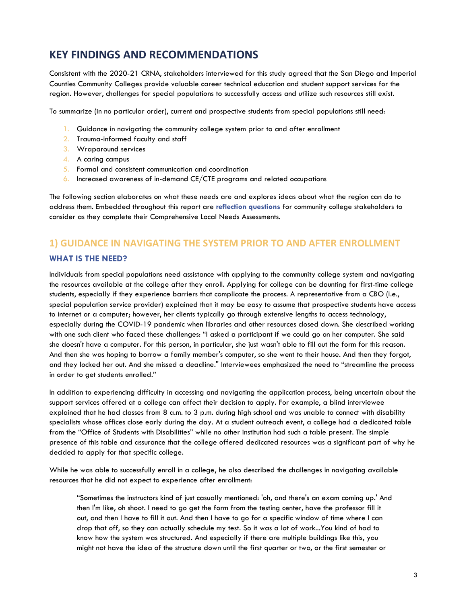# <span id="page-4-0"></span>**KEY FINDINGS AND RECOMMENDATIONS**

Consistent with the 2020-21 CRNA, stakeholders interviewed for this study agreed that the San Diego and Imperial Counties Community Colleges provide valuable career technical education and student support services for the region. However, challenges for special populations to successfully access and utilize such resources still exist.

To summarize (in no particular order), current and prospective students from special populations still need:

- 1. Guidance in navigating the community college system prior to and after enrollment
- 2. Trauma-informed faculty and staff
- 3. Wraparound services
- 4. A caring campus
- 5. Formal and consistent communication and coordination
- 6. Increased awareness of in-demand CE/CTE programs and related occupations

The following section elaborates on what these needs are and explores ideas about what the region can do to address them. Embedded throughout this report are **reflection questions** for community college stakeholders to consider as they complete their Comprehensive Local Needs Assessments.

# <span id="page-4-1"></span>**1) GUIDANCE IN NAVIGATING THE SYSTEM PRIOR TO AND AFTER ENROLLMENT**

# **WHAT IS THE NEED?**

Individuals from special populations need assistance with applying to the community college system and navigating the resources available at the college after they enroll. Applying for college can be daunting for first-time college students, especially if they experience barriers that complicate the process. A representative from a CBO (i.e., special population service provider) explained that it may be easy to assume that prospective students have access to internet or a computer; however, her clients typically go through extensive lengths to access technology, especially during the COVID-19 pandemic when libraries and other resources closed down. She described working with one such client who faced these challenges: "I asked a participant if we could go on her computer. She said she doesn't have a computer. For this person, in particular, she just wasn't able to fill out the form for this reason. And then she was hoping to borrow a family member's computer, so she went to their house. And then they forgot, and they locked her out. And she missed a deadline." Interviewees emphasized the need to "streamline the process in order to get students enrolled."

In addition to experiencing difficulty in accessing and navigating the application process, being uncertain about the support services offered at a college can affect their decision to apply. For example, a blind interviewee explained that he had classes from 8 a.m. to 3 p.m. during high school and was unable to connect with disability specialists whose offices close early during the day. At a student outreach event, a college had a dedicated table from the "Office of Students with Disabilities" while no other institution had such a table present. The simple presence of this table and assurance that the college offered dedicated resources was a significant part of why he decided to apply for that specific college.

While he was able to successfully enroll in a college, he also described the challenges in navigating available resources that he did not expect to experience after enrollment:

"Sometimes the instructors kind of just casually mentioned: 'oh, and there's an exam coming up.' And then I'm like, oh shoot. I need to go get the form from the testing center, have the professor fill it out, and then I have to fill it out. And then I have to go for a specific window of time where I can drop that off, so they can actually schedule my test. So it was a lot of work...You kind of had to know how the system was structured. And especially if there are multiple buildings like this, you might not have the idea of the structure down until the first quarter or two, or the first semester or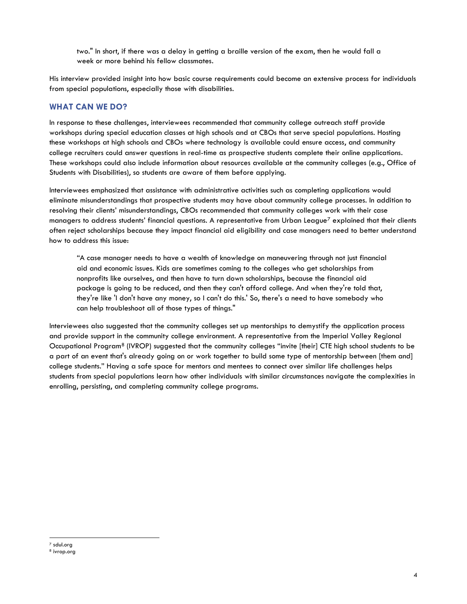two." In short, if there was a delay in getting a braille version of the exam, then he would fall a week or more behind his fellow classmates.

His interview provided insight into how basic course requirements could become an extensive process for individuals from special populations, especially those with disabilities.

### **WHAT CAN WE DO?**

In response to these challenges, interviewees recommended that community college outreach staff provide workshops during special education classes at high schools and at CBOs that serve special populations. Hosting these workshops at high schools and CBOs where technology is available could ensure access, and community college recruiters could answer questions in real-time as prospective students complete their online applications. These workshops could also include information about resources available at the community colleges (e.g., Office of Students with Disabilities), so students are aware of them before applying.

Interviewees emphasized that assistance with administrative activities such as completing applications would eliminate misunderstandings that prospective students may have about community college processes. In addition to resolving their clients' misunderstandings, CBOs recommended that community colleges work with their case managers to address students' financial questions. A representative from Urban League<sup>7</sup> explained that their clients often reject scholarships because they impact financial aid eligibility and case managers need to better understand how to address this issue:

"A case manager needs to have a wealth of knowledge on maneuvering through not just financial aid and economic issues. Kids are sometimes coming to the colleges who get scholarships from nonprofits like ourselves, and then have to turn down scholarships, because the financial aid package is going to be reduced, and then they can't afford college. And when they're told that, they're like 'I don't have any money, so I can't do this.' So, there's a need to have somebody who can help troubleshoot all of those types of things."

Interviewees also suggested that the community colleges set up mentorships to demystify the application process and provide support in the community college environment. A representative from the Imperial Valley Regional Occupational Program<sup>8</sup> (IVROP) suggested that the community colleges "invite [their] CTE high school students to be a part of an event that's already going on or work together to build some type of mentorship between [them and] college students." Having a safe space for mentors and mentees to connect over similar life challenges helps students from special populations learn how other individuals with similar circumstances navigate the complexities in enrolling, persisting, and completing community college programs.

<sup>7</sup> sdul.org

<sup>8</sup> ivrop.org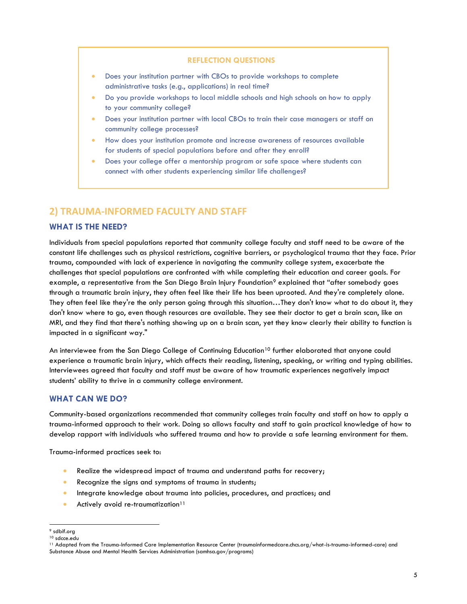#### **REFLECTION QUESTIONS**

- Does your institution partner with CBOs to provide workshops to complete administrative tasks (e.g., applications) in real time?
- Do you provide workshops to local middle schools and high schools on how to apply to your community college?
- Does your institution partner with local CBOs to train their case managers or staff on community college processes?
- How does your institution promote and increase awareness of resources available for students of special populations before and after they enroll?
- Does your college offer a mentorship program or safe space where students can connect with other students experiencing similar life challenges?

# <span id="page-6-0"></span>**2) TRAUMA-INFORMED FACULTY AND STAFF**

### **WHAT IS THE NEED?**

Individuals from special populations reported that community college faculty and staff need to be aware of the constant life challenges such as physical restrictions, cognitive barriers, or psychological trauma that they face. Prior trauma, compounded with lack of experience in navigating the community college system, exacerbate the challenges that special populations are confronted with while completing their education and career goals. For example, a representative from the San Diego Brain Injury Foundation<sup>9</sup> explained that "after somebody goes through a traumatic brain injury, they often feel like their life has been uprooted. And they're completely alone. They often feel like they're the only person going through this situation…They don't know what to do about it, they don't know where to go, even though resources are available. They see their doctor to get a brain scan, like an MRI, and they find that there's nothing showing up on a brain scan, yet they know clearly their ability to function is impacted in a significant way."

An interviewee from the San Diego College of Continuing Education<sup>10</sup> further elaborated that anyone could experience a traumatic brain injury, which affects their reading, listening, speaking, or writing and typing abilities. Interviewees agreed that faculty and staff must be aware of how traumatic experiences negatively impact students' ability to thrive in a community college environment.

#### **WHAT CAN WE DO?**

Community-based organizations recommended that community colleges train faculty and staff on how to apply a trauma-informed approach to their work. Doing so allows faculty and staff to gain practical knowledge of how to develop rapport with individuals who suffered trauma and how to provide a safe learning environment for them.

Trauma-informed practices seek to:

- Realize the widespread impact of trauma and understand paths for recovery;
- Recognize the signs and symptoms of trauma in students;
- Integrate knowledge about trauma into policies, procedures, and practices; and
- Actively avoid re-traumatization<sup>11</sup>

<sup>9</sup> sdbif.org

<sup>10</sup> sdcce.edu

<sup>11</sup> Adapted from the Trauma-Informed Care Implementation Resource Center (traumainformedcare.chcs.org/what-is-trauma-informed-care) and Substance Abuse and Mental Health Services Administration (samhsa.gov/programs)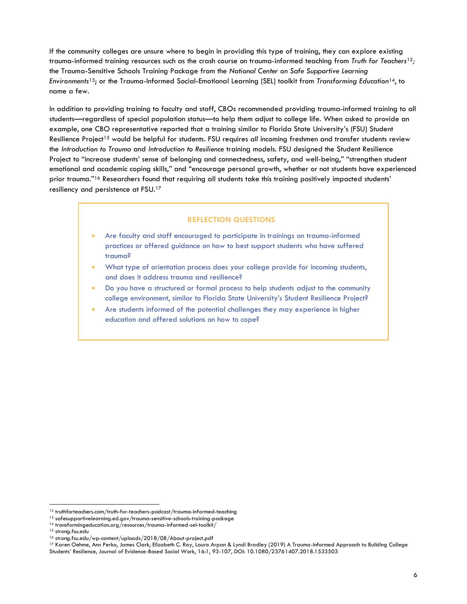If the community colleges are unsure where to begin in providing this type of training, they can explore existing trauma-informed training resources such as the crash course on trauma-informed teaching from *Truth for Teachers*12*;* the Trauma-Sensitive Schools Training Package from the *National Center on Safe Supportive Learning Environments*13; or the Trauma-Informed Social-Emotional Learning (SEL) toolkit from *Transforming Education*14, to name a few.

In addition to providing training to faculty and staff, CBOs recommended providing trauma-informed training to all students—regardless of special population status—to help them adjust to college life. When asked to provide an example, one CBO representative reported that a training similar to Florida State University's (FSU) Student Resilience Project<sup>15</sup> would be helpful for students. FSU requires *all* incoming freshmen and transfer students review the *Introduction to Trauma* and *Introduction to Resilience* training models. FSU designed the Student Resilience Project to "increase students' sense of belonging and connectedness, safety, and well-being," "strengthen student emotional and academic coping skills," and "encourage personal growth, whether or not students have experienced prior trauma."<sup>16</sup> Researchers found that requiring all students take this training positively impacted students' resiliency and persistence at FSU.<sup>17</sup>

#### **REFLECTION QUESTIONS**

- Are faculty and staff encouraged to participate in trainings on trauma-informed practices or offered guidance on how to best support students who have suffered trauma?
- What type of orientation process does your college provide for incoming students, and does it address trauma and resilience?
- Do you have a structured or formal process to help students adjust to the community college environment, similar to Florida State University's Student Resilience Project?
- Are students informed of the potential challenges they may experience in higher education and offered solutions on how to cope?

<sup>12</sup> truthforteachers.com/truth-for-teachers-podcast/trauma-informed-teaching

 $^{\rm 13}$  safesupportivelearning.ed.gov/trauma-sensitive-schools-training-package

 $^{\rm 14}$  transformingeducation.org/resources/trauma-informed-sel-toolkit/

<sup>15</sup> strong.fsu.edu

<sup>16</sup> strong.fsu.edu/wp-content/uploads/2018/08/About-project.pdf

<sup>17</sup> Karen Oehme, Ann Perko, James Clark, Elizabeth C. Ray, Laura Arpan & Lyndi Bradley (2019) A Trauma-Informed Approach to Building College Students' Resilience, Journal of Evidence-Based Social Work, 16:1, 93-107, DOI: 10.1080/23761407.2018.1533503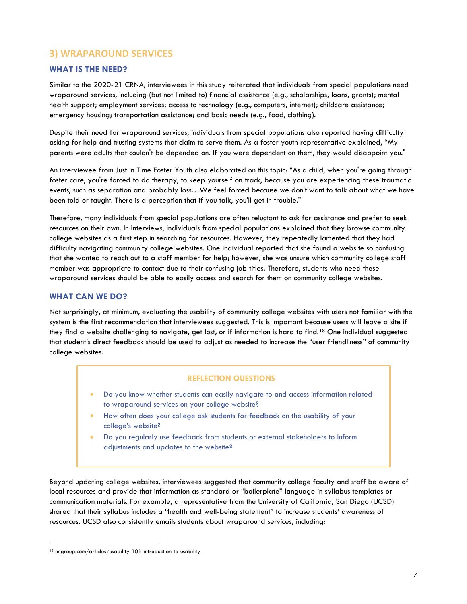# <span id="page-8-0"></span>**3) WRAPAROUND SERVICES**

## **WHAT IS THE NEED?**

Similar to the 2020-21 CRNA, interviewees in this study reiterated that individuals from special populations need wraparound services, including (but not limited to) financial assistance (e.g., scholarships, loans, grants); mental health support; employment services; access to technology (e.g., computers, internet); childcare assistance; emergency housing; transportation assistance; and basic needs (e.g., food, clothing).

Despite their need for wraparound services, individuals from special populations also reported having difficulty asking for help and trusting systems that claim to serve them. As a foster youth representative explained, "My parents were adults that couldn't be depended on. If you were dependent on them, they would disappoint you."

An interviewee from Just in Time Foster Youth also elaborated on this topic: "As a child, when you're going through foster care, you're forced to do therapy, to keep yourself on track, because you are experiencing these traumatic events, such as separation and probably loss…We feel forced because we don't want to talk about what we have been told or taught. There is a perception that if you talk, you'll get in trouble."

Therefore, many individuals from special populations are often reluctant to ask for assistance and prefer to seek resources on their own. In interviews, individuals from special populations explained that they browse community college websites as a first step in searching for resources. However, they repeatedly lamented that they had difficulty navigating community college websites. One individual reported that she found a website so confusing that she wanted to reach out to a staff member for help; however, she was unsure which community college staff member was appropriate to contact due to their confusing job titles. Therefore, students who need these wraparound services should be able to easily access and search for them on community college websites.

## **WHAT CAN WE DO?**

Not surprisingly, at minimum, evaluating the usability of community college websites with users not familiar with the system is the first recommendation that interviewees suggested. This is important because users will leave a site if they find a website challenging to navigate, get lost, or if information is hard to find.<sup>18</sup> One individual suggested that student's direct feedback should be used to adjust as needed to increase the "user friendliness" of community college websites.

#### **REFLECTION QUESTIONS**

- Do you know whether students can easily navigate to and access information related to wraparound services on your college website?
- How often does your college ask students for feedback on the usability of your college's website?
- Do you regularly use feedback from students or external stakeholders to inform adjustments and updates to the website?

Beyond updating college websites, interviewees suggested that community college faculty and staff be aware of local resources and provide that information as standard or "boilerplate" language in syllabus templates or communication materials. For example, a representative from the University of California, San Diego (UCSD) shared that their syllabus includes a "health and well-being statement" to increase students' awareness of resources. UCSD also consistently emails students about wraparound services, including:

<sup>18</sup> nngroup.com/articles/usability-101-introduction-to-usability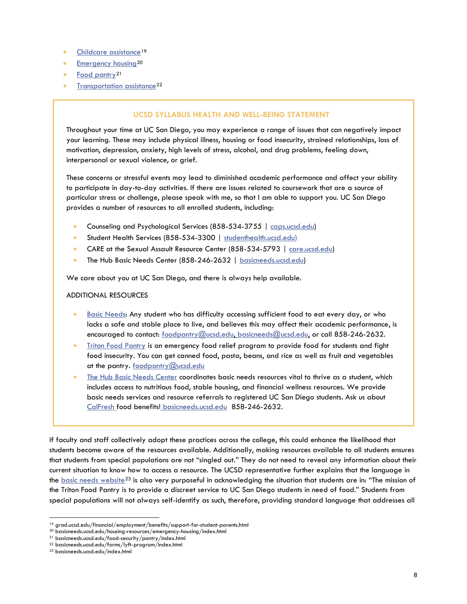- [Childcare assistance](https://grad.ucsd.edu/financial/employment/benefits/support-for-student-parents.html)<sup>19</sup>
- **[Emergency housing](https://basicneeds.ucsd.edu/housing-resources/emergency-housing/index.html)<sup>20</sup>**
- [Food pantry](https://basicneeds.ucsd.edu/food-security/pantry/index.html)<sup>21</sup>
- [Transportation assistance](https://basicneeds.ucsd.edu/forms/lyft-program/index.html)<sup>22</sup>

#### **UCSD SYLLABUS HEALTH AND WELL-BEING STATEMENT**

Throughout your time at UC San Diego, you may experience a range of issues that can negatively impact your learning. These may include physical illness, housing or food insecurity, strained relationships, loss of motivation, depression, anxiety, high levels of stress, alcohol, and drug problems, feeling down, interpersonal or sexual violence, or grief.

These concerns or stressful events may lead to diminished academic performance and affect your ability to participate in day-to-day activities. If there are issues related to coursework that are a source of particular stress or challenge, please speak with me, so that I am able to support you. UC San Diego provides a number of resources to all enrolled students, including:

- Counseling and Psychological Services (858-534-3755 | [caps.ucsd.edu\)](https://caps.ucsd.edu/)
- Student Health Services (858-534-3300 | [studenthealth.ucsd.edu\)](https://wellness.ucsd.edu/studenthealth/Pages/default.aspx)
- CARE at the Sexual Assault Resource Center (858-534-5793 | [care.ucsd.edu\)](https://care.ucsd.edu/)
- The Hub Basic Needs Center (858-246-2632 | [basicneeds.ucsd.edu\)](https://basicneeds.ucsd.edu/)

We care about you at UC San Diego, and there is always help available.

#### ADDITIONAL RESOURCES

- [Basic Needs:](https://basicneeds.ucsd.edu/) Any student who has difficulty accessing sufficient food to eat every day, or who lacks a safe and stable place to live, and believes this may affect their academic performance, is encouraged to contact: [foodpantry@ucsd.edu,](mailto:foodpantry@ucsd.edu) [basicneeds@ucsd.edu,](mailto:basicneeds@ucsd.edu) or call 858-246-2632.
- [Triton Food Pantry](https://basicneeds.ucsd.edu/food-security/pantry/index.html) is an emergency food relief program to provide food for students and fight food insecurity. You can get canned food, pasta, beans, and rice as well as fruit and vegetables at the pantry. [foodpantry@ucsd.edu](mailto:foodpantry@ucsd.edu)
- [The Hub Basic Needs Center](https://basicneeds.ucsd.edu/) coordinates basic needs resources vital to thrive as a student, which includes access to nutritious food, stable housing, and financial wellness resources. We provide basic needs services and resource referrals to registered UC San Diego students. Ask us about [CalFresh f](https://basicneeds.ucsd.edu/food-security/calfresh/index.html)ood benefits! [basicneeds.ucsd.edu](http://basicneeds.ucsd.edu/assistance-forms/index.html) 858-246-2632.

If faculty and staff collectively adopt these practices across the college, this could enhance the likelihood that students become aware of the resources available. Additionally, making resources available to all students ensures that students from special populations are not "singled out." They do not need to reveal any information about their current situation to know how to access a resource. The UCSD representative further explains that the language in the [basic needs website](https://basicneeds.ucsd.edu/index.html)<sup>23</sup> is also very purposeful in acknowledging the situation that students are in: "The mission of the Triton Food Pantry is to provide a discreet service to UC San Diego students in need of food." Students from special populations will not always self-identify as such, therefore, providing standard language that addresses all

<sup>19</sup> grad.ucsd.edu/financial/employment/benefits/support-for-student-parents.html

<sup>20</sup> basicneeds.ucsd.edu/housing-resources/emergency-housing/index.html

<sup>21</sup> basicneeds.ucsd.edu/food-security/pantry/index.html

<sup>22</sup> basicneeds.ucsd.edu/forms/lyft-program/index.html

<sup>23</sup> basicneeds.ucsd.edu/index.html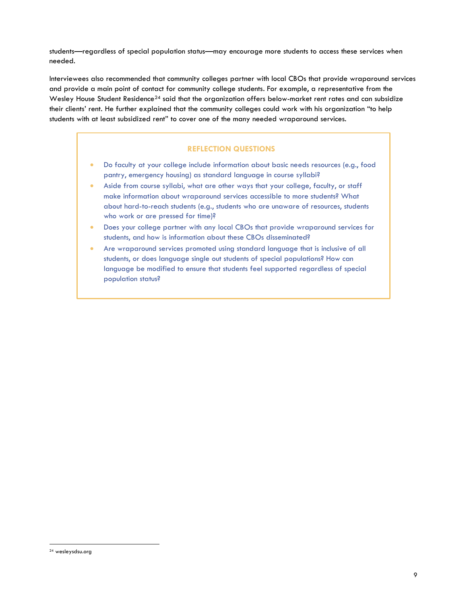students—regardless of special population status—may encourage more students to access these services when needed.

Interviewees also recommended that community colleges partner with local CBOs that provide wraparound services and provide a main point of contact for community college students. For example, a representative from the Wesley House Student Residence<sup>24</sup> said that the organization offers below-market rent rates and can subsidize their clients' rent. He further explained that the community colleges could work with his organization "to help students with at least subsidized rent" to cover one of the many needed wraparound services.

# **REFLECTION QUESTIONS**

- Do faculty at your college include information about basic needs resources (e.g., food pantry, emergency housing) as standard language in course syllabi?
- Aside from course syllabi, what are other ways that your college, faculty, or staff make information about wraparound services accessible to more students? What about hard-to-reach students (e.g., students who are unaware of resources, students who work or are pressed for time)?
- Does your college partner with any local CBOs that provide wraparound services for students, and how is information about these CBOs disseminated?
- Are wraparound services promoted using standard language that is inclusive of all students, or does language single out students of special populations? How can language be modified to ensure that students feel supported regardless of special population status?

<sup>24</sup> wesleysdsu.org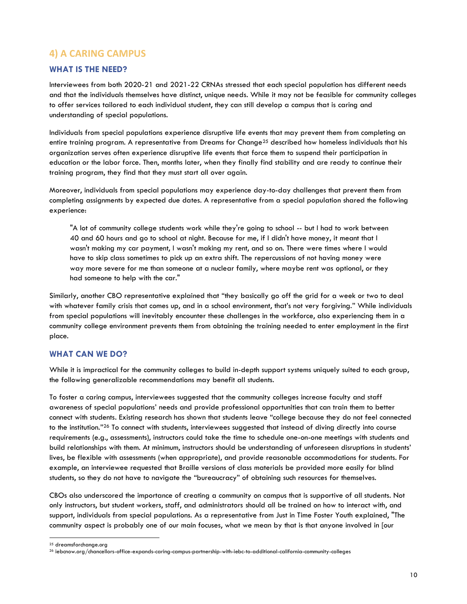# <span id="page-11-0"></span>**4) A CARING CAMPUS**

## **WHAT IS THE NEED?**

Interviewees from both 2020-21 and 2021-22 CRNAs stressed that each special population has different needs and that the individuals themselves have distinct, unique needs. While it may not be feasible for community colleges to offer services tailored to each individual student, they can still develop a campus that is caring and understanding of special populations.

Individuals from special populations experience disruptive life events that may prevent them from completing an entire training program. A representative from Dreams for Change<sup>25</sup> described how homeless individuals that his organization serves often experience disruptive life events that force them to suspend their participation in education or the labor force. Then, months later, when they finally find stability and are ready to continue their training program, they find that they must start all over again.

Moreover, individuals from special populations may experience day-to-day challenges that prevent them from completing assignments by expected due dates. A representative from a special population shared the following experience:

"A lot of community college students work while they're going to school -- but I had to work between 40 and 60 hours and go to school at night. Because for me, if I didn't have money, it meant that I wasn't making my car payment, I wasn't making my rent, and so on. There were times where I would have to skip class sometimes to pick up an extra shift. The repercussions of not having money were way more severe for me than someone at a nuclear family, where maybe rent was optional, or they had someone to help with the car."

Similarly, another CBO representative explained that "they basically go off the grid for a week or two to deal with whatever family crisis that comes up, and in a school environment, that's not very forgiving." While individuals from special populations will inevitably encounter these challenges in the workforce, also experiencing them in a community college environment prevents them from obtaining the training needed to enter employment in the first place.

### **WHAT CAN WE DO?**

While it is impractical for the community colleges to build in-depth support systems uniquely suited to each group, the following generalizable recommendations may benefit all students.

To foster a caring campus, interviewees suggested that the community colleges increase faculty and staff awareness of special populations' needs and provide professional opportunities that can train them to better connect with students. Existing research has shown that students leave "college because they do not feel connected to the institution."<sup>26</sup> To connect with students, interviewees suggested that instead of diving directly into course requirements (e.g., assessments), instructors could take the time to schedule one-on-one meetings with students and build relationships with them. At minimum, instructors should be understanding of unforeseen disruptions in students' lives, be flexible with assessments (when appropriate), and provide reasonable accommodations for students. For example, an interviewee requested that Braille versions of class materials be provided more easily for blind students, so they do not have to navigate the "bureaucracy" of obtaining such resources for themselves.

CBOs also underscored the importance of creating a community on campus that is supportive of all students. Not only instructors, but student workers, staff, and administrators should all be trained on how to interact with, and support, individuals from special populations. As a representative from Just in Time Foster Youth explained, "The community aspect is probably one of our main focuses, what we mean by that is that anyone involved in [our

<sup>&</sup>lt;sup>25</sup> dreamsforchange.org

<sup>26</sup> iebcnow.org/chancellors-office-expands-caring-campus-partnership-with-iebc-to-additional-california-community-colleges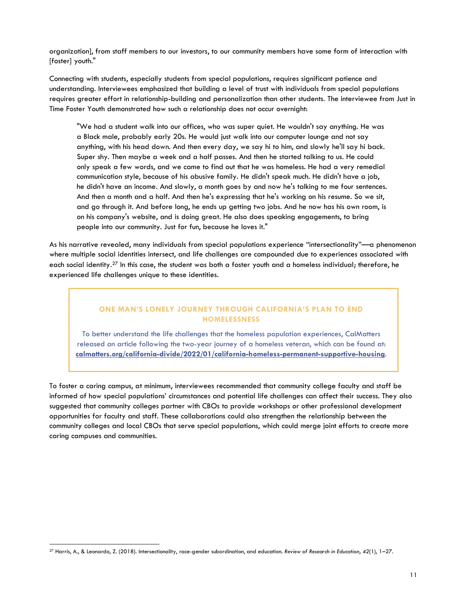organization], from staff members to our investors, to our community members have some form of interaction with [foster] youth."

Connecting with students, especially students from special populations, requires significant patience and understanding. Interviewees emphasized that building a level of trust with individuals from special populations requires greater effort in relationship-building and personalization than other students. The interviewee from Just in Time Foster Youth demonstrated how such a relationship does not occur overnight:

"We had a student walk into our offices, who was super quiet. He wouldn't say anything. He was a Black male, probably early 20s. He would just walk into our computer lounge and not say anything, with his head down. And then every day, we say hi to him, and slowly he'll say hi back. Super shy. Then maybe a week and a half passes. And then he started talking to us. He could only speak a few words, and we came to find out that he was homeless. He had a very remedial communication style, because of his abusive family. He didn't speak much. He didn't have a job, he didn't have an income. And slowly, a month goes by and now he's talking to me four sentences. And then a month and a half. And then he's expressing that he's working on his resume. So we sit, and go through it. And before long, he ends up getting two jobs. And he now has his own room, is on his company's website, and is doing great. He also does speaking engagements, to bring people into our community. Just for fun, because he loves it."

As his narrative revealed, many individuals from special populations experience "intersectionality"—a phenomenon where multiple social identities intersect, and life challenges are compounded due to experiences associated with each social identity.<sup>27</sup> In this case, the student was both a foster youth and a homeless individual; therefore, he experienced life challenges unique to these identities.

### **ONE MAN'S LONELY JOURNEY THROUGH CALIFORNIA'S PLAN TO END HOMELESSNESS**

To better understand the life challenges that the homeless population experiences, CalMatters released an article following the two-year journey of a homeless veteran, which can be found at: **[calmatters.org/california-divide/2022/01/california-homeless-permanent-supportive-housing](https://calmatters.org/california-divide/2022/01/california-homeless-permanent-supportive-housing/)**.

To foster a caring campus, at minimum, interviewees recommended that community college faculty and staff be informed of how special populations' circumstances and potential life challenges can affect their success. They also suggested that community colleges partner with CBOs to provide workshops or other professional development opportunities for faculty and staff. These collaborations could also strengthen the relationship between the community colleges and local CBOs that serve special populations, which could merge joint efforts to create more caring campuses and communities.

<sup>27</sup> Harris, A., & Leonardo, Z. (2018). Intersectionality, race-gender subordination, and education. *Review of Research in Education*, *42*(1), 1–27.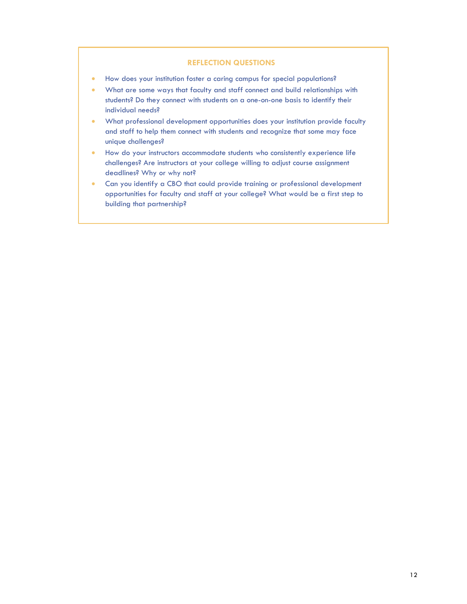#### **REFLECTION QUESTIONS**

- How does your institution foster a caring campus for special populations?
- What are some ways that faculty and staff connect and build relationships with students? Do they connect with students on a one-on-one basis to identify their individual needs?
- What professional development opportunities does your institution provide faculty and staff to help them connect with students and recognize that some may face unique challenges?
- How do your instructors accommodate students who consistently experience life challenges? Are instructors at your college willing to adjust course assignment deadlines? Why or why not?
- Can you identify a CBO that could provide training or professional development opportunities for faculty and staff at your college? What would be a first step to building that partnership?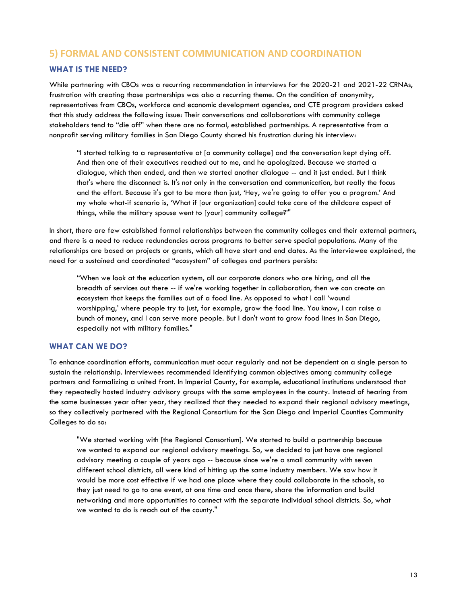# <span id="page-14-0"></span>**5) FORMAL AND CONSISTENT COMMUNICATION AND COORDINATION**

## **WHAT IS THE NEED?**

While partnering with CBOs was a recurring recommendation in interviews for the 2020-21 and 2021-22 CRNAs, frustration with creating those partnerships was also a recurring theme. On the condition of anonymity, representatives from CBOs, workforce and economic development agencies, and CTE program providers asked that this study address the following issue: Their conversations and collaborations with community college stakeholders tend to "die off" when there are no formal, established partnerships. A representative from a nonprofit serving military families in San Diego County shared his frustration during his interview:

"I started talking to a representative at [a community college] and the conversation kept dying off. And then one of their executives reached out to me, and he apologized. Because we started a dialogue, which then ended, and then we started another dialogue -- and it just ended. But I think that's where the disconnect is. It's not only in the conversation and communication, but really the focus and the effort. Because it's got to be more than just, 'Hey, we're going to offer you a program.' And my whole what-if scenario is, 'What if [our organization] could take care of the childcare aspect of things, while the military spouse went to [your] community college?'"

In short, there are few established formal relationships between the community colleges and their external partners, and there is a need to reduce redundancies across programs to better serve special populations. Many of the relationships are based on projects or grants, which all have start and end dates. As the interviewee explained, the need for a sustained and coordinated "ecosystem" of colleges and partners persists:

"When we look at the education system, all our corporate donors who are hiring, and all the breadth of services out there -- if we're working together in collaboration, then we can create an ecosystem that keeps the families out of a food line. As opposed to what I call 'wound worshipping,' where people try to just, for example, grow the food line. You know, I can raise a bunch of money, and I can serve more people. But I don't want to grow food lines in San Diego, especially not with military families."

#### **WHAT CAN WE DO?**

To enhance coordination efforts, communication must occur regularly and not be dependent on a single person to sustain the relationship. Interviewees recommended identifying common objectives among community college partners and formalizing a united front. In Imperial County, for example, educational institutions understood that they repeatedly hosted industry advisory groups with the same employees in the county. Instead of hearing from the same businesses year after year, they realized that they needed to expand their regional advisory meetings, so they collectively partnered with the Regional Consortium for the San Diego and Imperial Counties Community Colleges to do so:

"We started working with [the Regional Consortium]. We started to build a partnership because we wanted to expand our regional advisory meetings. So, we decided to just have one regional advisory meeting a couple of years ago -- because since we're a small community with seven different school districts, all were kind of hitting up the same industry members. We saw how it would be more cost effective if we had one place where they could collaborate in the schools, so they just need to go to one event, at one time and once there, share the information and build networking and more opportunities to connect with the separate individual school districts. So, what we wanted to do is reach out of the county."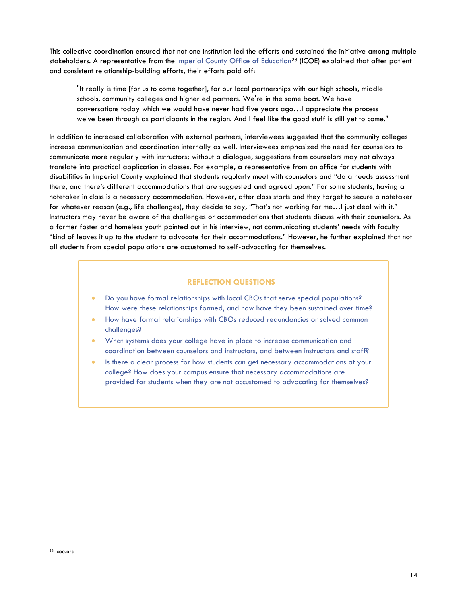This collective coordination ensured that not one institution led the efforts and sustained the initiative among multiple stakeholders. A representative from the *[Imperial County Office of Education](https://urldefense.com/v3/__https:/www.icoe.org/__;!!Gqic7nUINw!zFXJ6VnycIkmvsVMOBincgDbdUFyivyKA9ZujM6HixA2zsJnMtNA-m5YlOjESKAuFQ7GOA$)*<sup>28</sup> (ICOE) explained that after patient and consistent relationship-building efforts, their efforts paid off:

"It really is time [for us to come together], for our local partnerships with our high schools, middle schools, community colleges and higher ed partners. We're in the same boat. We have conversations today which we would have never had five years ago…I appreciate the process we've been through as participants in the region. And I feel like the good stuff is still yet to come."

In addition to increased collaboration with external partners, interviewees suggested that the community colleges increase communication and coordination internally as well. Interviewees emphasized the need for counselors to communicate more regularly with instructors; without a dialogue, suggestions from counselors may not always translate into practical application in classes. For example, a representative from an office for students with disabilities in Imperial County explained that students regularly meet with counselors and "do a needs assessment there, and there's different accommodations that are suggested and agreed upon." For some students, having a notetaker in class is a necessary accommodation. However, after class starts and they forget to secure a notetaker for whatever reason (e.g., life challenges), they decide to say, "That's not working for me…I just deal with it." Instructors may never be aware of the challenges or accommodations that students discuss with their counselors. As a former foster and homeless youth pointed out in his interview, not communicating students' needs with faculty "kind of leaves it up to the student to advocate for their accommodations." However, he further explained that not all students from special populations are accustomed to self-advocating for themselves.

### **REFLECTION QUESTIONS**

- Do you have formal relationships with local CBOs that serve special populations? How were these relationships formed, and how have they been sustained over time?
- How have formal relationships with CBOs reduced redundancies or solved common challenges?
- What systems does your college have in place to increase communication and coordination between counselors and instructors, and between instructors and staff?
- Is there a clear process for how students can get necessary accommodations at your college? How does your campus ensure that necessary accommodations are provided for students when they are not accustomed to advocating for themselves?

<sup>28</sup> icoe.org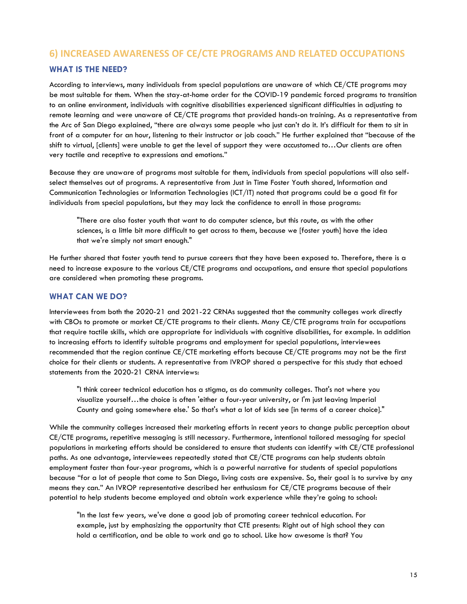# <span id="page-16-0"></span>**6) INCREASED AWARENESS OF CE/CTE PROGRAMS AND RELATED OCCUPATIONS**

# **WHAT IS THE NEED?**

According to interviews, many individuals from special populations are unaware of which CE/CTE programs may be most suitable for them. When the stay-at-home order for the COVID-19 pandemic forced programs to transition to an online environment, individuals with cognitive disabilities experienced significant difficulties in adjusting to remote learning and were unaware of CE/CTE programs that provided hands-on training. As a representative from the Arc of San Diego explained, "there are always some people who just can't do it. It's difficult for them to sit in front of a computer for an hour, listening to their instructor or job coach." He further explained that "because of the shift to virtual, [clients] were unable to get the level of support they were accustomed to…Our clients are often very tactile and receptive to expressions and emotions."

Because they are unaware of programs most suitable for them, individuals from special populations will also selfselect themselves out of programs. A representative from Just in Time Foster Youth shared, Information and Communication Technologies or Information Technologies (ICT/IT) noted that programs could be a good fit for individuals from special populations, but they may lack the confidence to enroll in those programs:

"There are also foster youth that want to do computer science, but this route, as with the other sciences, is a little bit more difficult to get across to them, because we [foster youth] have the idea that we're simply not smart enough."

He further shared that foster youth tend to pursue careers that they have been exposed to. Therefore, there is a need to increase exposure to the various CE/CTE programs and occupations, and ensure that special populations are considered when promoting these programs.

## **WHAT CAN WE DO?**

Interviewees from both the 2020-21 and 2021-22 CRNAs suggested that the community colleges work directly with CBOs to promote or market CE/CTE programs to their clients. Many CE/CTE programs train for occupations that require tactile skills, which are appropriate for individuals with cognitive disabilities, for example. In addition to increasing efforts to identify suitable programs and employment for special populations, interviewees recommended that the region continue CE/CTE marketing efforts because CE/CTE programs may not be the first choice for their clients or students. A representative from IVROP shared a perspective for this study that echoed statements from the 2020-21 CRNA interviews:

"I think career technical education has a stigma, as do community colleges. That's not where you visualize yourself…the choice is often 'either a four-year university, or I'm just leaving Imperial County and going somewhere else.' So that's what a lot of kids see [in terms of a career choice]."

While the community colleges increased their marketing efforts in recent years to change public perception about CE/CTE programs, repetitive messaging is still necessary. Furthermore, intentional tailored messaging for special populations in marketing efforts should be considered to ensure that students can identify with CE/CTE professional paths. As one advantage, interviewees repeatedly stated that CE/CTE programs can help students obtain employment faster than four-year programs, which is a powerful narrative for students of special populations because "for a lot of people that come to San Diego, living costs are expensive. So, their goal is to survive by any means they can." An IVROP representative described her enthusiasm for CE/CTE programs because of their potential to help students become employed and obtain work experience while they're going to school:

"In the last few years, we've done a good job of promoting career technical education. For example, just by emphasizing the opportunity that CTE presents: Right out of high school they can hold a certification, and be able to work and go to school. Like how awesome is that? You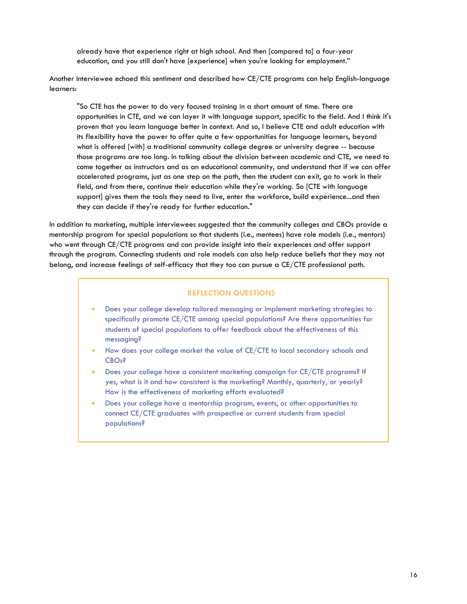already have that experience right at high school. And then [compared to] a four-year education, and you still don't have [experience] when you're looking for employment."

Another interviewee echoed this sentiment and described how CE/CTE programs can help English-language learners:

"So CTE has the power to do very focused training in a short amount of time. There are opportunities in CTE, and we can layer it with language support, specific to the field. And I think it's proven that you learn language better in context. And so, I believe CTE and adult education with its flexibility have the power to offer quite a few opportunities for language learners, beyond what is offered [with] a traditional community college degree or university degree -- because those programs are too long. In talking about the division between academic and CTE, we need to come together as instructors and as an educational community, and understand that if we can offer accelerated programs, just as one step on the path, then the student can exit, go to work in their field, and from there, continue their education while they're working. So [CTE with language support] gives them the tools they need to live, enter the workforce, build experience...and then they can decide if they're ready for further education."

In addition to marketing, multiple interviewees suggested that the community colleges and CBOs provide a mentorship program for special populations so that students (i.e., mentees) have role models (i.e., mentors) who went through CE/CTE programs and can provide insight into their experiences and offer support through the program. Connecting students and role models can also help reduce beliefs that they may not belong, and increase feelings of self-efficacy that they too can pursue a CE/CTE professional path.

#### **REFLECTION QUESTIONS**

- Does your college develop tailored messaging or implement marketing strategies to specifically promote CE/CTE among special populations? Are there opportunities for students of special populations to offer feedback about the effectiveness of this messaging?
- How does your college market the value of CE/CTE to local secondary schools and CBOs?
- Does your college have a consistent marketing campaign for CE/CTE programs? If yes, what is it and how consistent is the marketing? Monthly, quarterly, or yearly? How is the effectiveness of marketing efforts evaluated?
- Does your college have a mentorship program, events, or other opportunities to connect CE/CTE graduates with prospective or current students from special populations?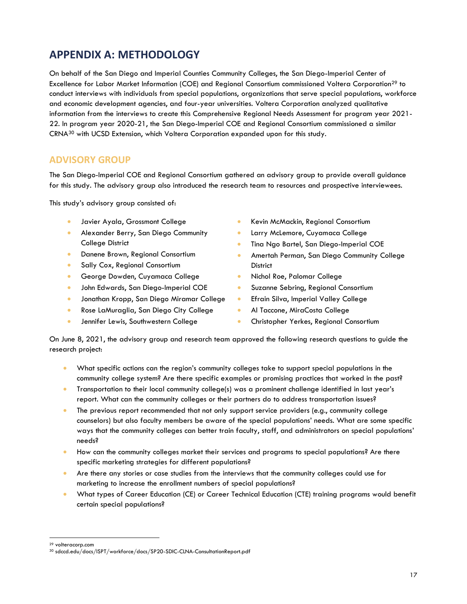# <span id="page-18-0"></span>**APPENDIX A: METHODOLOGY**

On behalf of the San Diego and Imperial Counties Community Colleges, the San Diego-Imperial Center of Excellence for Labor Market Information (COE) and Regional Consortium commissioned Voltera Corporation<sup>29</sup> to conduct interviews with individuals from special populations, organizations that serve special populations, workforce and economic development agencies, and four-year universities. Voltera Corporation analyzed qualitative information from the interviews to create this Comprehensive Regional Needs Assessment for program year 2021- 22. In program year 2020-21, the San Diego-Imperial COE and Regional Consortium commissioned a similar CRNA<sup>30</sup> with UCSD Extension, which Voltera Corporation expanded upon for this study.

# **ADVISORY GROUP**

The San Diego-Imperial COE and Regional Consortium gathered an advisory group to provide overall guidance for this study. The advisory group also introduced the research team to resources and prospective interviewees.

This study's advisory group consisted of:

- Javier Ayala, Grossmont College
- Alexander Berry, San Diego Community College District
- Danene Brown, Regional Consortium
- Sally Cox, Regional Consortium
- George Dowden, Cuyamaca College
- John Edwards, San Diego-Imperial COE
- Jonathan Kropp, San Diego Miramar College
- Rose LaMuraglia, San Diego City College
- **•** Jennifer Lewis, Southwestern College
- Kevin McMackin, Regional Consortium
- Larry McLemore, Cuyamaca College
- Tina Ngo Bartel, San Diego-Imperial COE
- Amertah Perman, San Diego Community College **District**
- Nichol Roe, Palomar College
- **•** Suzanne Sebring, Regional Consortium
- Efrain Silva, Imperial Valley College
- Al Taccone, MiraCosta College
- **•** Christopher Yerkes, Regional Consortium

On June 8, 2021, the advisory group and research team approved the following research questions to guide the research project:

- What specific actions can the region's community colleges take to support special populations in the community college system? Are there specific examples or promising practices that worked in the past?
- Transportation to their local community college(s) was a prominent challenge identified in last year's report. What can the community colleges or their partners do to address transportation issues?
- The previous report recommended that not only support service providers (e.g., community college counselors) but also faculty members be aware of the special populations' needs. What are some specific ways that the community colleges can better train faculty, staff, and administrators on special populations' needs?
- How can the community colleges market their services and programs to special populations? Are there specific marketing strategies for different populations?
- Are there any stories or case studies from the interviews that the community colleges could use for marketing to increase the enrollment numbers of special populations?
- What types of Career Education (CE) or Career Technical Education (CTE) training programs would benefit certain special populations?

<sup>29</sup> volteracorp.com

<sup>30</sup> sdccd.edu/docs/ISPT/workforce/docs/SP20-SDIC-CLNA-ConsultationReport.pdf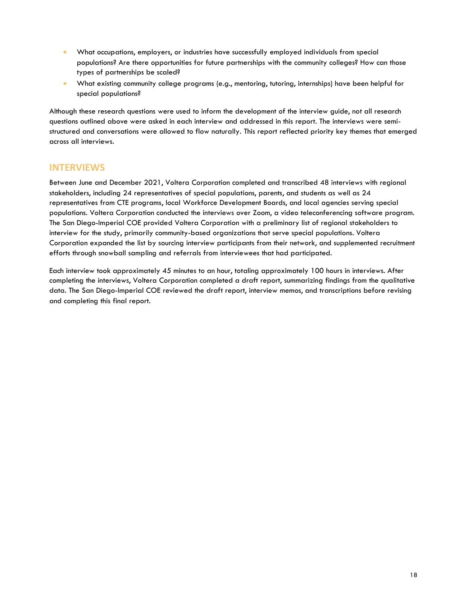- What occupations, employers, or industries have successfully employed individuals from special populations? Are there opportunities for future partnerships with the community colleges? How can those types of partnerships be scaled?
- What existing community college programs (e.g., mentoring, tutoring, internships) have been helpful for special populations?

Although these research questions were used to inform the development of the interview guide, not all research questions outlined above were asked in each interview and addressed in this report. The interviews were semistructured and conversations were allowed to flow naturally. This report reflected priority key themes that emerged across all interviews.

# **INTERVIEWS**

Between June and December 2021, Voltera Corporation completed and transcribed 48 interviews with regional stakeholders, including 24 representatives of special populations, parents, and students as well as 24 representatives from CTE programs, local Workforce Development Boards, and local agencies serving special populations. Voltera Corporation conducted the interviews over Zoom, a video teleconferencing software program. The San Diego-Imperial COE provided Voltera Corporation with a preliminary list of regional stakeholders to interview for the study, primarily community-based organizations that serve special populations. Voltera Corporation expanded the list by sourcing interview participants from their network, and supplemented recruitment efforts through snowball sampling and referrals from interviewees that had participated.

Each interview took approximately 45 minutes to an hour, totaling approximately 100 hours in interviews. After completing the interviews, Voltera Corporation completed a draft report, summarizing findings from the qualitative data. The San Diego-Imperial COE reviewed the draft report, interview memos, and transcriptions before revising and completing this final report.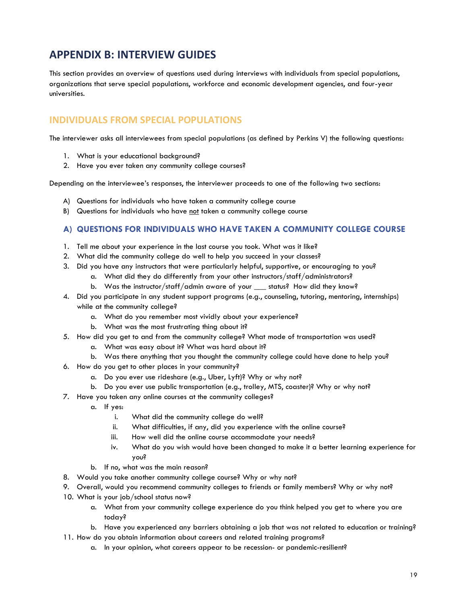# <span id="page-20-0"></span>**APPENDIX B: INTERVIEW GUIDES**

This section provides an overview of questions used during interviews with individuals from special populations, organizations that serve special populations, workforce and economic development agencies, and four-year universities.

# **INDIVIDUALS FROM SPECIAL POPULATIONS**

The interviewer asks all interviewees from special populations (as defined by Perkins V) the following questions:

- 1. What is your educational background?
- 2. Have you ever taken any community college courses?

Depending on the interviewee's responses, the interviewer proceeds to one of the following two sections:

- A) Questions for individuals who have taken a community college course
- B) Questions for individuals who have not taken a community college course

## **A) QUESTIONS FOR INDIVIDUALS WHO HAVE TAKEN A COMMUNITY COLLEGE COURSE**

- 1. Tell me about your experience in the last course you took. What was it like?
- 2. What did the community college do well to help you succeed in your classes?
- 3. Did you have any instructors that were particularly helpful, supportive, or encouraging to you?
	- a. What did they do differently from your other instructors/staff/administrators?
	- b. Was the instructor/staff/admin aware of your \_\_\_ status? How did they know?
- 4. Did you participate in any student support programs (e.g., counseling, tutoring, mentoring, internships) while at the community college?
	- a. What do you remember most vividly about your experience?
	- b. What was the most frustrating thing about it?
- 5. How did you get to and from the community college? What mode of transportation was used?
	- a. What was easy about it? What was hard about it?
	- b. Was there anything that you thought the community college could have done to help you?
- 6. How do you get to other places in your community?
	- a. Do you ever use rideshare (e.g., Uber, Lyft)? Why or why not?
	- b. Do you ever use public transportation (e.g., trolley, MTS, coaster)? Why or why not?
- 7. Have you taken any online courses at the community colleges?
	- a. If yes:
		- i. What did the community college do well?
		- ii. What difficulties, if any, did you experience with the online course?
		- iii. How well did the online course accommodate your needs?
		- iv. What do you wish would have been changed to make it a better learning experience for you?
	- b. If no, what was the main reason?
- 8. Would you take another community college course? Why or why not?
- 9. Overall, would you recommend community colleges to friends or family members? Why or why not?
- 10. What is your job/school status now?
	- a. What from your community college experience do you think helped you get to where you are today?
	- b. Have you experienced any barriers obtaining a job that was not related to education or training?
- 11. How do you obtain information about careers and related training programs?
	- a. In your opinion, what careers appear to be recession- or pandemic-resilient?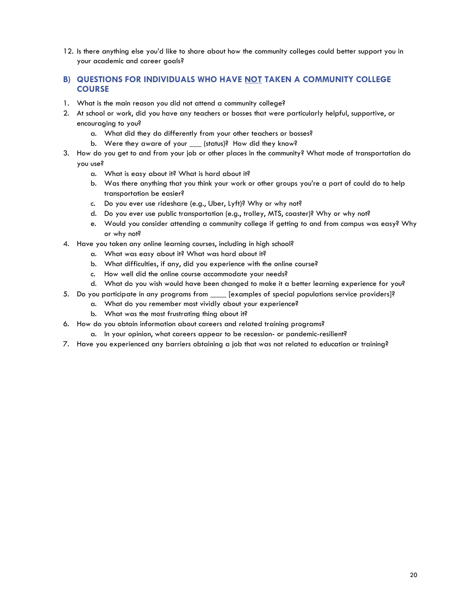12. Is there anything else you'd like to share about how the community colleges could better support you in your academic and career goals?

## **B) QUESTIONS FOR INDIVIDUALS WHO HAVE NOT TAKEN A COMMUNITY COLLEGE COURSE**

- 1. What is the main reason you did not attend a community college?
- 2. At school or work, did you have any teachers or bosses that were particularly helpful, supportive, or encouraging to you?
	- a. What did they do differently from your other teachers or bosses?
	- b. Were they aware of your (status)? How did they know?
- 3. How do you get to and from your job or other places in the community? What mode of transportation do you use?
	- a. What is easy about it? What is hard about it?
	- b. Was there anything that you think your work or other groups you're a part of could do to help transportation be easier?
	- c. Do you ever use rideshare (e.g., Uber, Lyft)? Why or why not?
	- d. Do you ever use public transportation (e.g., trolley, MTS, coaster)? Why or why not?
	- e. Would you consider attending a community college if getting to and from campus was easy? Why or why not?
- 4. Have you taken any online learning courses, including in high school?
	- a. What was easy about it? What was hard about it?
	- b. What difficulties, if any, did you experience with the online course?
	- c. How well did the online course accommodate your needs?
	- d. What do you wish would have been changed to make it a better learning experience for you?
- 5. Do you participate in any programs from \_\_\_\_ [examples of special populations service providers]?
	- a. What do you remember most vividly about your experience?
	- b. What was the most frustrating thing about it?
- 6. How do you obtain information about careers and related training programs?
	- a. In your opinion, what careers appear to be recession- or pandemic-resilient?
- 7. Have you experienced any barriers obtaining a job that was not related to education or training?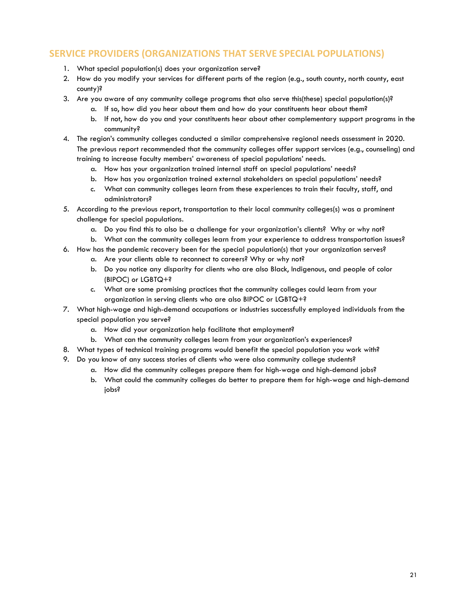# **SERVICE PROVIDERS (ORGANIZATIONS THAT SERVE SPECIAL POPULATIONS)**

- 1. What special population(s) does your organization serve?
- 2. How do you modify your services for different parts of the region (e.g., south county, north county, east county)?
- 3. Are you aware of any community college programs that also serve this(these) special population(s)?
	- a. If so, how did you hear about them and how do your constituents hear about them?
	- b. If not, how do you and your constituents hear about other complementary support programs in the community?
- 4. The region's community colleges conducted a similar comprehensive regional needs assessment in 2020. The previous report recommended that the community colleges offer support services (e.g., counseling) and training to increase faculty members' awareness of special populations' needs.
	- a. How has your organization trained internal staff on special populations' needs?
	- b. How has you organization trained external stakeholders on special populations' needs?
	- c. What can community colleges learn from these experiences to train their faculty, staff, and administrators?
- 5. According to the previous report, transportation to their local community colleges(s) was a prominent challenge for special populations.
	- a. Do you find this to also be a challenge for your organization's clients? Why or why not?
	- b. What can the community colleges learn from your experience to address transportation issues?
- 6. How has the pandemic recovery been for the special population(s) that your organization serves?
	- a. Are your clients able to reconnect to careers? Why or why not?
	- b. Do you notice any disparity for clients who are also Black, Indigenous, and people of color (BIPOC) or LGBTQ+?
	- c. What are some promising practices that the community colleges could learn from your organization in serving clients who are also BIPOC or LGBTQ+?
- 7. What high-wage and high-demand occupations or industries successfully employed individuals from the special population you serve?
	- a. How did your organization help facilitate that employment?
	- b. What can the community colleges learn from your organization's experiences?
- 8. What types of technical training programs would benefit the special population you work with?
- 9. Do you know of any success stories of clients who were also community college students?
	- a. How did the community colleges prepare them for high-wage and high-demand jobs?
	- b. What could the community colleges do better to prepare them for high-wage and high-demand jobs?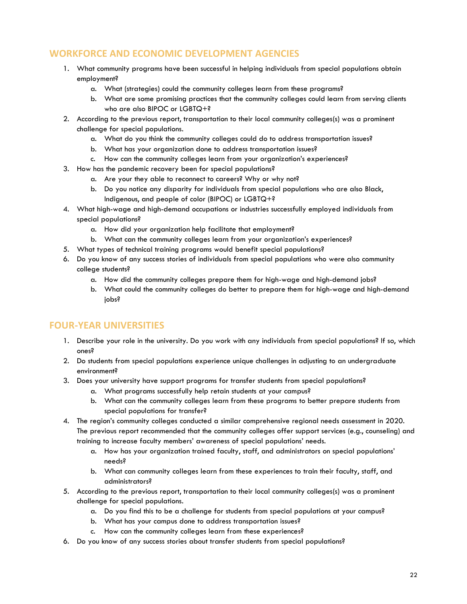# **WORKFORCE AND ECONOMIC DEVELOPMENT AGENCIES**

- 1. What community programs have been successful in helping individuals from special populations obtain employment?
	- a. What (strategies) could the community colleges learn from these programs?
	- b. What are some promising practices that the community colleges could learn from serving clients who are also BIPOC or LGBTQ+?
- 2. According to the previous report, transportation to their local community colleges(s) was a prominent challenge for special populations.
	- a. What do you think the community colleges could do to address transportation issues?
	- b. What has your organization done to address transportation issues?
	- c. How can the community colleges learn from your organization's experiences?
- 3. How has the pandemic recovery been for special populations?
	- a. Are your they able to reconnect to careers? Why or why not?
	- b. Do you notice any disparity for individuals from special populations who are also Black, Indigenous, and people of color (BIPOC) or LGBTQ+?
- 4. What high-wage and high-demand occupations or industries successfully employed individuals from special populations?
	- a. How did your organization help facilitate that employment?
	- b. What can the community colleges learn from your organization's experiences?
- 5. What types of technical training programs would benefit special populations?
- 6. Do you know of any success stories of individuals from special populations who were also community college students?
	- a. How did the community colleges prepare them for high-wage and high-demand jobs?
	- b. What could the community colleges do better to prepare them for high-wage and high-demand jobs?

# **FOUR-YEAR UNIVERSITIES**

- 1. Describe your role in the university. Do you work with any individuals from special populations? If so, which ones?
- 2. Do students from special populations experience unique challenges in adjusting to an undergraduate environment?
- 3. Does your university have support programs for transfer students from special populations?
	- a. What programs successfully help retain students at your campus?
	- b. What can the community colleges learn from these programs to better prepare students from special populations for transfer?
- 4. The region's community colleges conducted a similar comprehensive regional needs assessment in 2020. The previous report recommended that the community colleges offer support services (e.g., counseling) and training to increase faculty members' awareness of special populations' needs.
	- a. How has your organization trained faculty, staff, and administrators on special populations' needs?
	- b. What can community colleges learn from these experiences to train their faculty, staff, and administrators?
- 5. According to the previous report, transportation to their local community colleges(s) was a prominent challenge for special populations.
	- a. Do you find this to be a challenge for students from special populations at your campus?
	- b. What has your campus done to address transportation issues?
	- c. How can the community colleges learn from these experiences?
- 6. Do you know of any success stories about transfer students from special populations?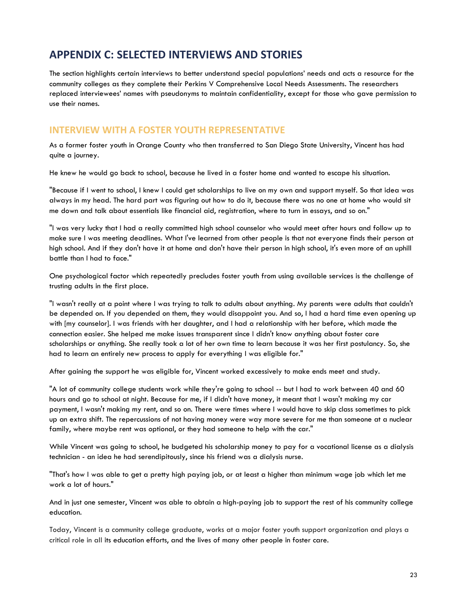# <span id="page-24-0"></span>**APPENDIX C: SELECTED INTERVIEWS AND STORIES**

The section highlights certain interviews to better understand special populations' needs and acts a resource for the community colleges as they complete their Perkins V Comprehensive Local Needs Assessments. The researchers replaced interviewees' names with pseudonyms to maintain confidentiality, except for those who gave permission to use their names.

# **INTERVIEW WITH A FOSTER YOUTH REPRESENTATIVE**

As a former foster youth in Orange County who then transferred to San Diego State University, Vincent has had quite a journey.

He knew he would go back to school, because he lived in a foster home and wanted to escape his situation.

"Because if I went to school, I knew I could get scholarships to live on my own and support myself. So that idea was always in my head. The hard part was figuring out how to do it, because there was no one at home who would sit me down and talk about essentials like financial aid, registration, where to turn in essays, and so on."

"I was very lucky that I had a really committed high school counselor who would meet after hours and follow up to make sure I was meeting deadlines. What I've learned from other people is that not everyone finds their person at high school. And if they don't have it at home and don't have their person in high school, it's even more of an uphill battle than I had to face."

One psychological factor which repeatedly precludes foster youth from using available services is the challenge of trusting adults in the first place.

"I wasn't really at a point where I was trying to talk to adults about anything. My parents were adults that couldn't be depended on. If you depended on them, they would disappoint you. And so, I had a hard time even opening up with [my counselor]. I was friends with her daughter, and I had a relationship with her before, which made the connection easier. She helped me make issues transparent since I didn't know anything about foster care scholarships or anything. She really took a lot of her own time to learn because it was her first postulancy. So, she had to learn an entirely new process to apply for everything I was eligible for."

After gaining the support he was eligible for, Vincent worked excessively to make ends meet and study.

"A lot of community college students work while they're going to school -- but I had to work between 40 and 60 hours and go to school at night. Because for me, if I didn't have money, it meant that I wasn't making my car payment, I wasn't making my rent, and so on. There were times where I would have to skip class sometimes to pick up an extra shift. The repercussions of not having money were way more severe for me than someone at a nuclear family, where maybe rent was optional, or they had someone to help with the car."

While Vincent was going to school, he budgeted his scholarship money to pay for a vocational license as a dialysis technician - an idea he had serendipitously, since his friend was a dialysis nurse.

"That's how I was able to get a pretty high paying job, or at least a higher than minimum wage job which let me work a lot of hours."

And in just one semester, Vincent was able to obtain a high-paying job to support the rest of his community college education.

Today, Vincent is a community college graduate, works at a major foster youth support organization and plays a critical role in all its education efforts, and the lives of many other people in foster care.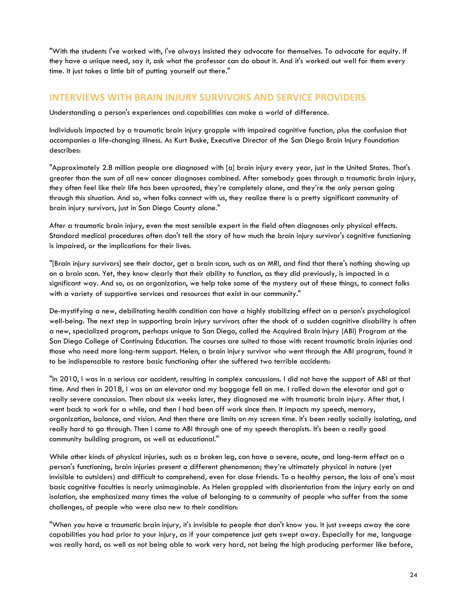"With the students I've worked with, I've always insisted they advocate for themselves. To advocate for equity. If they have a unique need, say it, ask what the professor can do about it. And it's worked out well for them every time. It just takes a little bit of putting yourself out there."

# **INTERVIEWS WITH BRAIN INJURY SURVIVORS AND SERVICE PROVIDERS**

Understanding a person's experiences and capabilities can make a world of difference.

Individuals impacted by a traumatic brain injury grapple with impaired cognitive function, plus the confusion that accompanies a life-changing illness. As Kurt Buske, Executive Director of the San Diego Brain Injury Foundation describes:

"Approximately 2.8 million people are diagnosed with [a] brain injury every year, just in the United States. That's greater than the sum of all new cancer diagnoses combined. After somebody goes through a traumatic brain injury, they often feel like their life has been uprooted, they're completely alone, and they're the only person going through this situation. And so, when folks connect with us, they realize there is a pretty significant community of brain injury survivors, just in San Diego County alone."

After a traumatic brain injury, even the most sensible expert in the field often diagnoses only physical effects. Standard medical procedures often don't tell the story of how much the brain injury survivor's cognitive functioning is impaired, or the implications for their lives.

"[Brain injury survivors] see their doctor, get a brain scan, such as an MRI, and find that there's nothing showing up on a brain scan. Yet, they know clearly that their ability to function, as they did previously, is impacted in a significant way. And so, as an organization, we help take some of the mystery out of these things, to connect folks with a variety of supportive services and resources that exist in our community."

De-mystifying a new, debilitating health condition can have a highly stabilizing effect on a person's psychological well-being. The next step in supporting brain injury survivors after the shock of a sudden cognitive disability is often a new, specialized program, perhaps unique to San Diego, called the Acquired Brain Injury (ABI) Program at the San Diego College of Continuing Education. The courses are suited to those with recent traumatic brain injuries and those who need more long-term support. Helen, a brain injury survivor who went through the ABI program, found it to be indispensable to restore basic functioning after she suffered two terrible accidents:

"In 2010, I was in a serious car accident, resulting in complex concussions. I did not have the support of ABI at that time. And then in 2018, I was on an elevator and my baggage fell on me. I rolled down the elevator and got a really severe concussion. Then about six weeks later, they diagnosed me with traumatic brain injury. After that, I went back to work for a while, and then I had been off work since then. It impacts my speech, memory, organization, balance, and vision. And then there are limits on my screen time. It's been really socially isolating, and really hard to go through. Then I came to ABI through one of my speech therapists. It's been a really good community building program, as well as educational."

While other kinds of physical injuries, such as a broken leg, can have a severe, acute, and long-term effect on a person's functioning, brain injuries present a different phenomenon; they're ultimately physical in nature (yet invisible to outsiders) and difficult to comprehend, even for close friends. To a healthy person, the loss of one's most basic cognitive faculties is nearly unimaginable. As Helen grappled with disorientation from the injury early on and isolation, she emphasized many times the value of belonging to a community of people who suffer from the same challenges, of people who were also new to their condition:

"When you have a traumatic brain injury, it's invisible to people that don't know you. It just sweeps away the core capabilities you had prior to your injury, as if your competence just gets swept away. Especially for me, language was really hard, as well as not being able to work very hard, not being the high producing performer like before,